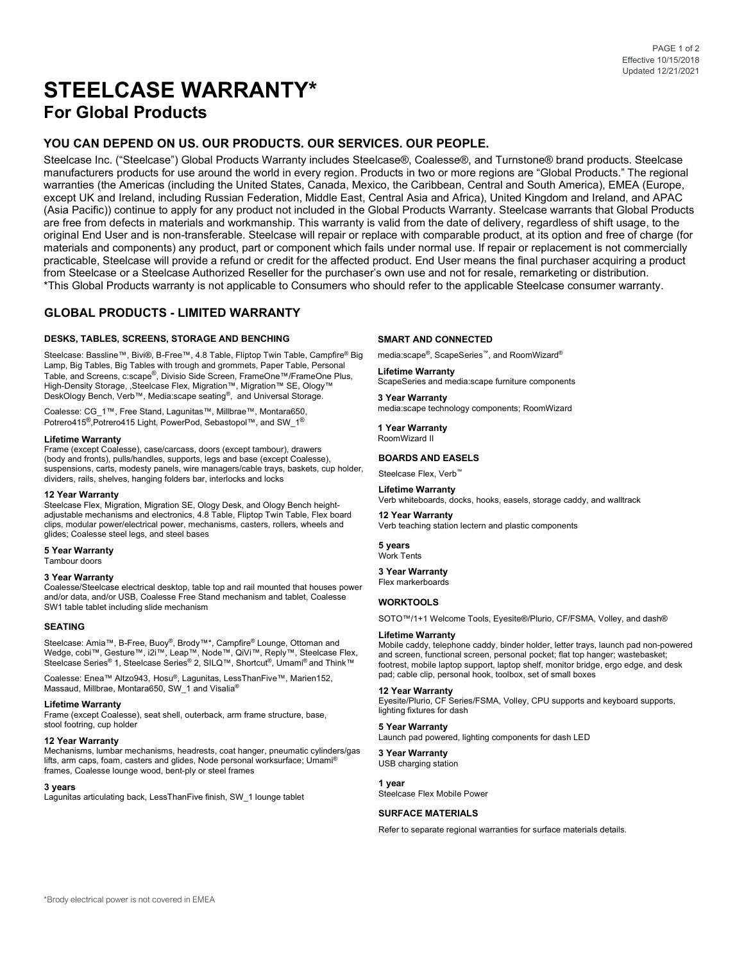# **STEELCASE WARRANTY\* For Global Products**

# **YOU CAN DEPEND ON US. OUR PRODUCTS. OUR SERVICES. OUR PEOPLE.**

Steelcase Inc. ("Steelcase") Global Products Warranty includes Steelcase®, Coalesse®, and Turnstone® brand products. Steelcase manufacturers products for use around the world in every region. Products in two or more regions are "Global Products." The regional warranties (the Americas (including the United States, Canada, Mexico, the Caribbean, Central and South America), EMEA (Europe, except UK and Ireland, including Russian Federation, Middle East, Central Asia and Africa), United Kingdom and Ireland, and APAC (Asia Pacific)) continue to apply for any product not included in the Global Products Warranty. Steelcase warrants that Global Products are free from defects in materials and workmanship. This warranty is valid from the date of delivery, regardless of shift usage, to the original End User and is non-transferable. Steelcase will repair or replace with comparable product, at its option and free of charge (for materials and components) any product, part or component which fails under normal use. If repair or replacement is not commercially practicable, Steelcase will provide a refund or credit for the affected product. End User means the final purchaser acquiring a product from Steelcase or a Steelcase Authorized Reseller for the purchaser's own use and not for resale, remarketing or distribution. \*This Global Products warranty is not applicable to Consumers who should refer to the applicable Steelcase consumer warranty.

# **GLOBAL PRODUCTS - LIMITED WARRANTY**

## **DESKS, TABLES, SCREENS, STORAGE AND BENCHING**

Steelcase: Bassline™, Bivi®, B-Free™, 4.8 Table, Fliptop Twin Table, Campfire® Big Lamp, Big Tables, Big Tables with trough and grommets, Paper Table, Personal Table, and Screens, c:scape®, Divisio Side Screen, FrameOne™/FrameOne Plus, High-Density Storage, ,Steelcase Flex, Migration™, Migration™ SE, Ology™ DeskOlogy Bench, Verb™, Media:scape seating®, and Universal Storage.

Coalesse: CG\_1™, Free Stand, Lagunitas™, Millbrae™, Montara650, Potrero415<sup>®</sup>,Potrero415 Light, PowerPod, Sebastopol™, and SW\_1<sup>®</sup>

#### **Lifetime Warranty**

Frame (except Coalesse), case/carcass, doors (except tambour), drawers (body and fronts), pulls/handles, supports, legs and base (except Coalesse), suspensions, carts, modesty panels, wire managers/cable trays, baskets, cup holder, dividers, rails, shelves, hanging folders bar, interlocks and locks

#### **12 Year Warranty**

Steelcase Flex, Migration, Migration SE, Ology Desk, and Ology Bench heightadjustable mechanisms and electronics, 4.8 Table, Fliptop Twin Table, Flex board clips, modular power/electrical power, mechanisms, casters, rollers, wheels and glides; Coalesse steel legs, and steel bases

## **5 Year Warranty**

# Tambour doors

# **3 Year Warranty**

Coalesse/Steelcase electrical desktop, table top and rail mounted that houses power and/or data, and/or USB, Coalesse Free Stand mechanism and tablet, Coalesse SW1 table tablet including slide mechanism

#### **SEATING**

Steelcase: Amia™, B-Free, Buoy®, Brody™\*, Campfire® Lounge, Ottoman and Wedge, cobi™, Gesture™, i2i™, Leap™, Node™, QiVi™, Reply™, Steelcase Flex,<br>Steelcase Series® 1, Steelcase Series® 2, SILQ™, Shortcut®, Umami®and Think™

Coalesse: Enea™ Altzo943, Hosu®, Lagunitas, LessThanFive™, Marien152, Massaud, Millbrae, Montara650, SW\_1 and Visalia®

#### **Lifetime Warranty**

Frame (except Coalesse), seat shell, outerback, arm frame structure, base, stool footring, cup holder

## **12 Year Warranty**

Mechanisms, lumbar mechanisms, headrests, coat hanger, pneumatic cylinders/gas lifts, arm caps, foam, casters and glides, Node personal worksurface; Umami® frames, Coalesse lounge wood, bent-ply or steel frames

#### **3 years**

Lagunitas articulating back, LessThanFive finish, SW\_1 lounge tablet

#### **SMART AND CONNECTED**

media:scape®, ScapeSeries™, and RoomWizard®

#### **Lifetime Warranty** ScapeSeries and media:scape furniture components

**3 Year Warranty** media:scape technology components; RoomWizard

**1 Year Warranty** RoomWizard II

## **BOARDS AND EASELS**

Steelcase Flex, Verb™

# **Lifetime Warranty**

Verb whiteboards, docks, hooks, easels, storage caddy, and walltrack

**12 Year Warranty** Verb teaching station lectern and plastic components

**5 years** Work Tents

## **3 Year Warranty**

Flex markerboards

## **WORKTOOLS**

SOTO™/1+1 Welcome Tools, Eyesite®/Plurio, CF/FSMA, Volley, and dash®

#### **Lifetime Warranty**

Mobile caddy, telephone caddy, binder holder, letter trays, launch pad non-powered and screen, functional screen, personal pocket; flat top hanger; wastebasket; footrest, mobile laptop support, laptop shelf, monitor bridge, ergo edge, and desk pad; cable clip, personal hook, toolbox, set of small boxes

### **12 Year Warranty**

Eyesite/Plurio, CF Series/FSMA, Volley, CPU supports and keyboard supports, lighting fixtures for dash

#### **5 Year Warranty** Launch pad powered, lighting components for dash LED

**3 Year Warranty**

#### USB charging station

**1 year**

Steelcase Flex Mobile Power

#### **SURFACE MATERIALS**

Refer to separate regional warranties for surface materials details.